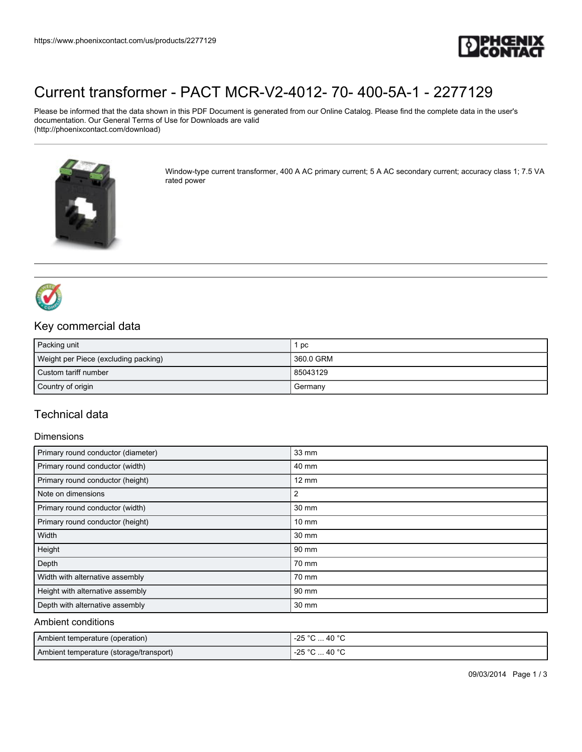

# [Current transformer - PACT MCR-V2-4012- 70- 400-5A-1 - 2277129](https://www.phoenixcontact.com/us/products/2277129)

Please be informed that the data shown in this PDF Document is generated from our Online Catalog. Please find the complete data in the user's documentation. Our General Terms of Use for Downloads are valid (http://phoenixcontact.com/download)



Window-type current transformer, 400 A AC primary current; 5 A AC secondary current; accuracy class 1; 7.5 VA rated power



## Key commercial data

| Packing unit                         | pc        |
|--------------------------------------|-----------|
| Weight per Piece (excluding packing) | 360.0 GRM |
| Custom tariff number                 | 85043129  |
| Country of origin                    | I Germany |

## Technical data

#### **Dimensions**

| Primary round conductor (diameter) | 33 mm           |
|------------------------------------|-----------------|
| Primary round conductor (width)    | 40 mm           |
| Primary round conductor (height)   | $12 \text{ mm}$ |
| Note on dimensions                 | 2               |
| Primary round conductor (width)    | 30 mm           |
| Primary round conductor (height)   | $10 \text{ mm}$ |
| Width                              | 30 mm           |
| Height                             | 90 mm           |
| Depth                              | 70 mm           |
| Width with alternative assembly    | 70 mm           |
| Height with alternative assembly   | 90 mm           |
| Depth with alternative assembly    | 30 mm           |

#### Ambient conditions

| Ambient temperature (operation)         | $^{\circ}$ C  40 $^{\circ}$ C<br>-25 °C |
|-----------------------------------------|-----------------------------------------|
| Ambient temperature (storage/transport) | °C  40 °C<br>-25 °C                     |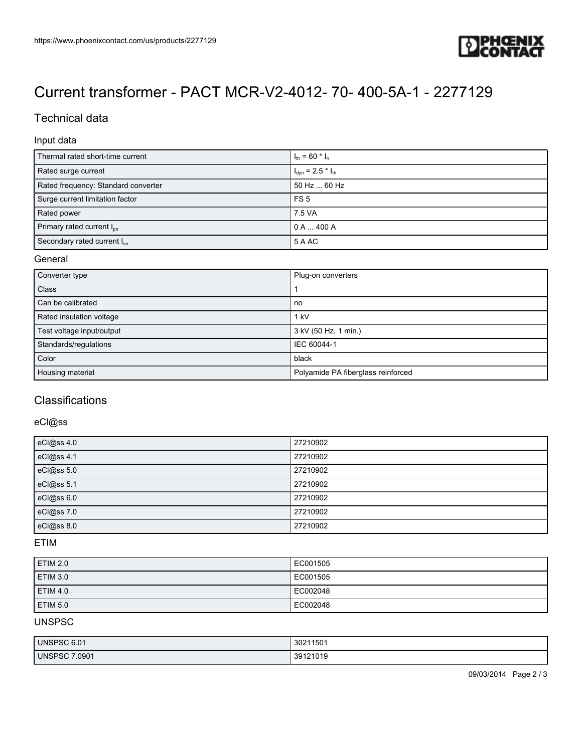

# [Current transformer - PACT MCR-V2-4012- 70- 400-5A-1 - 2277129](https://www.phoenixcontact.com/us/products/2277129)

## Technical data

### Input data

| Thermal rated short-time current        | $I_{\text{th}}$ = 60 $^{\star}$ I <sub>n</sub> |
|-----------------------------------------|------------------------------------------------|
| Rated surge current                     | $I_{dyn}$ = 2.5 $*$ $I_{th}$                   |
| Rated frequency: Standard converter     | 50 Hz  60 Hz                                   |
| Surge current limitation factor         | FS <sub>5</sub>                                |
| Rated power                             | 7.5 VA                                         |
| Primary rated current I <sub>pp</sub>   | 0 A  400 A                                     |
| Secondary rated current I <sub>sn</sub> | 5 A AC                                         |

#### General

| Converter type            | Plug-on converters                 |
|---------------------------|------------------------------------|
| <b>Class</b>              |                                    |
| Can be calibrated         | no                                 |
| Rated insulation voltage  | 1 kV                               |
| Test voltage input/output | 3 kV (50 Hz, 1 min.)               |
| Standards/regulations     | IEC 60044-1                        |
| Color                     | black                              |
| Housing material          | Polyamide PA fiberglass reinforced |

## **Classifications**

### eCl@ss

| eCl@ss 4.0 | 27210902 |
|------------|----------|
| eCl@ss 4.1 | 27210902 |
| eCl@ss 5.0 | 27210902 |
| eCl@ss 5.1 | 27210902 |
| eCl@ss 6.0 | 27210902 |
| eCl@ss 7.0 | 27210902 |
| eCl@ss 8.0 | 27210902 |

#### ETIM

| <b>ETIM 2.0</b> | EC001505 |
|-----------------|----------|
| <b>ETIM 3.0</b> | EC001505 |
| <b>ETIM 4.0</b> | EC002048 |
| <b>ETIM 5.0</b> | EC002048 |

## UNSPSC

| UNSPSC 6.01      | 30211501 |
|------------------|----------|
| 7.0901<br>UNSPSC | 39121019 |